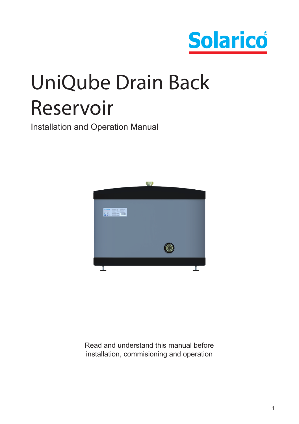

# UniQube Drain Back Reservoir

Installation and Operation Manual



Read and understand this manual before installation, commisioning and operation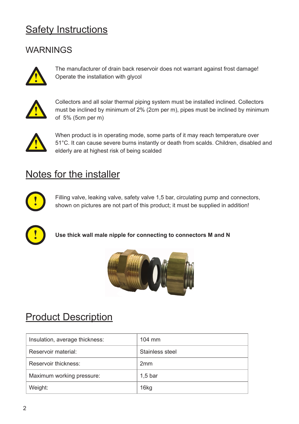## Safety Instructions

## **WARNINGS**



The manufacturer of drain back reservoir does not warrant against frost damage! Operate the installation with glycol **!**



Collectors and all solar thermal piping system must be installed inclined. Collectors must be inclined by minimum of 2% (2cm per m), pipes must be inclined by minimum of 5% (5cm per m)



When product is in operating mode, some parts of it may reach temperature over 51°C. It can cause severe burns instantly or death from scalds. Children, disabled and elderly are at highest risk of being scalded

## Notes for the installer



Filling valve, leaking valve, safety valve 1,5 bar, circulating pump and connectors, shown on pictures are not part of this product; it must be supplied in addition!



**Use thick wall male nipple for connecting to connectors M and N**



## **Product Description**

| Insulation, average thickness: | $104 \text{ mm}$ |
|--------------------------------|------------------|
| Reservoir material             | Stainless steel  |
| Reservoir thickness:           | 2mm              |
| Maximum working pressure:      | $1,5$ bar        |
| Weight:                        | 16kg             |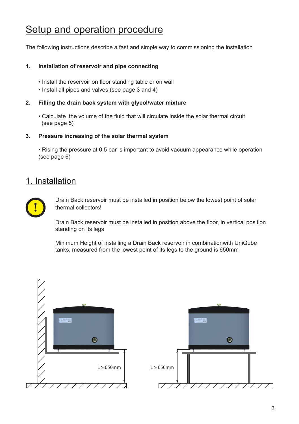## Setup and operation procedure

The following instructions describe a fast and simple way to commissioning the installation

#### **1. Installation of reservoir and pipe connecting**

- Install the reservoir on floor standing table or on wall
- Install all pipes and valves (see page 3 and 4)
- **2. Filling the drain back system with glycol/water mixture**
	- Calculate the volume of the fluid that will circulate inside the solar thermal circuit  $(see page 5)$

#### **3. Pressure increasing of the solar thermal system**

• Rising the pressure at 0,5 bar is important to avoid vacuum appearance while operation (see page 6)

### 1. Installation



Drain Back reservoir must be installed in position below the lowest point of solar thermal collectors!

Drain Back reservoir must be installed in position above the floor, in vertical position standing on its legs

Minimum Height of installing a Drain Back reservoir in combinationwith UniQube tanks, measured from the lowest point of its legs to the ground is 650mm

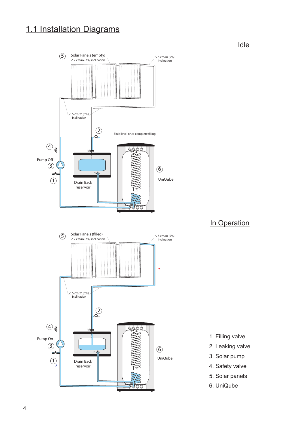# 1.1 Installation Diagrams



Idle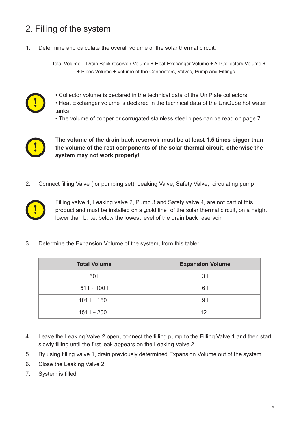## 2. Filling of the system

1. Determine and calculate the overall volume of the solar thermal circuit:

Total Volume = Drain Back reservoir Volume + Heat Exchanger Volume + All Collectors Volume + + Pipes Volume + Volume of the Connectors, Valves, Pump and Fittings



- Collector volume is declared in the technical data of the UniPlate collectors
- Heat Exchanger volume is declared in the technical data of the UniQube hot water tanks
	- The volume of copper or corrugated stainless steel pipes can be read on page 7.



**The volume of the drain back reservoir must be at least 1,5 times bigger than the volume of the rest components of the solar thermal circuit, otherwise the system may not work properly!**

2. Connect filling Valve ( or pumping set), Leaking Valve, Safety Valve, circulating pump



Filling valve 1, Leaking valve 2, Pump 3 and Safety valve 4, are not part of this product and must be installed on a "cold line" of the solar thermal circuit, on a height lower than L, i.e. below the lowest level of the drain back reservoir

3. Determine the Expansion Volume of the system, from this table:

| <b>Total Volume</b> | <b>Expansion Volume</b> |
|---------------------|-------------------------|
| 50 L                | 3 I                     |
| $511 \div 1001$     | 6 I                     |
| $1011 \div 1501$    | 91                      |
| $1511 \div 2001$    | 121                     |

- 4. Leave the Leaking Valve 2 open, connect the filling pump to the Filling Valve 1 and then start slowly filling until the first leak appears on the Leaking Valve 2
- 5. By using filling valve 1, drain previously determined Expansion Volume out of the system
- 6. Close the Leaking Valve 2
- 7. System is filled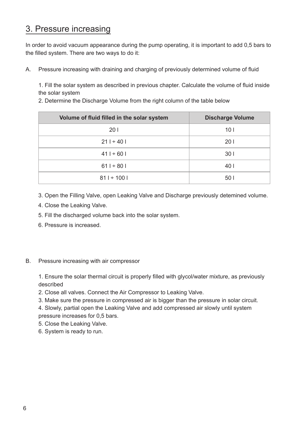### 3. Pressure increasing

In order to avoid vacuum appearance during the pump operating, it is important to add 0,5 bars to the filled system. There are two ways to do it:

A. Pressure increasing with draining and charging of previously determined volume of fluid

1. Fill the solar system as described in previous chapter. Calculate the volume of fluid inside the solar system

2. Determine the Discharge Volume from the right column of the table below

| Volume of fluid filled in the solar system | <b>Discharge Volume</b> |
|--------------------------------------------|-------------------------|
| 201                                        | 10 <sub>l</sub>         |
| $211 \div 401$                             | 201                     |
| $411 \div 601$                             | 301                     |
| $611 \div 801$                             | 40                      |
| $811 \div 1001$                            | 501                     |

3. Open the Filling Valve, open Leaking Valve and Discharge previously detemined volume.

- 4. Close the Leaking Valve.
- 5. Fill the discharged volume back into the solar system.
- 6. Pressure is increased.
- B. Pressure increasing with air compressor

1. Ensure the solar thermal circuit is properly filled with glycol/water mixture, as previously described

- 2. Close all valves. Connect the Air Compressor to Leaking Valve.
- 3. Make sure the pressure in compressed air is bigger than the pressure in solar circuit.

4. Slowly, partial open the Leaking Valve and add compressed air slowly until system pressure increases for 0,5 bars.

- 5. Close the Leaking Valve.
- 6. System is ready to run.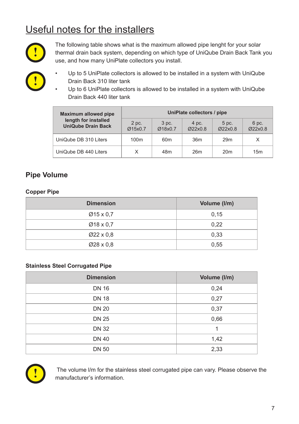# Useful notes for the installers



The following table shows what is the maximum allowed pipe lenght for your solar thermal drain back system, depending on which type of UniQube Drain Back Tank you use, and how many UniPlate collectors you install.

- **!**
- Up to 5 UniPlate collectors is allowed to be installed in a system with UniQube Drain Back 310 liter tank
- Up to 6 UniPlate collectors is allowed to be installed in a system with UniQube Drain Back 440 liter tank

| Maximum allowed pipe                              | UniPlate collectors / pipe |                  |                  |                  |                  |
|---------------------------------------------------|----------------------------|------------------|------------------|------------------|------------------|
| length for installed<br><b>UniQube Drain Back</b> | 2 pc.<br>Ø15x0.7           | 3 pc.<br>Ø18x0.7 | 4 pc.<br>Ø22x0.8 | 5 pc.<br>Ø22x0.8 | 6 pc.<br>Ø22x0.8 |
| UniQube DB 310 Liters                             | 100 <sub>m</sub>           | 60 <sub>m</sub>  | 36 <sub>m</sub>  | 29 <sub>m</sub>  | X                |
| UniQube DB 440 Liters                             | X                          | 48m              | 26m              | 20 <sub>m</sub>  | 15m              |

#### **Pipe Volume**

#### **Copper Pipe**

| <b>Dimension</b>       | Volume (I/m) |
|------------------------|--------------|
| $Ø15 \times 0.7$       | 0,15         |
| $Ø18 \times 0.7$       | 0,22         |
| $\varnothing$ 22 x 0.8 | 0,33         |
| $\varnothing$ 28 x 0.8 | 0,55         |

#### **Stainless Steel Corrugated Pipe**

| <b>Dimension</b> | Volume (I/m) |
|------------------|--------------|
| <b>DN 16</b>     | 0,24         |
| <b>DN 18</b>     | 0,27         |
| <b>DN 20</b>     | 0,37         |
| <b>DN 25</b>     | 0,66         |
| <b>DN 32</b>     |              |
| <b>DN 40</b>     | 1,42         |
| <b>DN 50</b>     | 2,33         |



 The volume l/m for the stainless steel corrugated pipe can vary. Please observe the manufacturer's information.